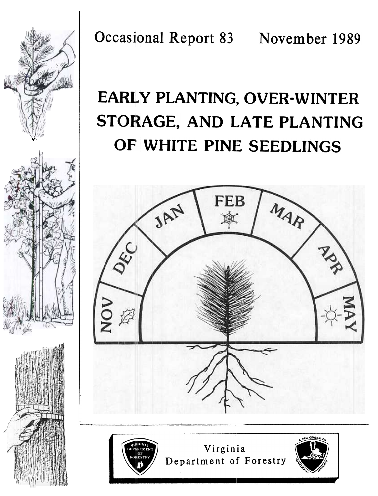

**Occasional Report 83** November 1989

# EARLY PLANTING, OVER-WINTER STORAGE, AND LATE PLANTING OF WHITE PINE SEEDLINGS



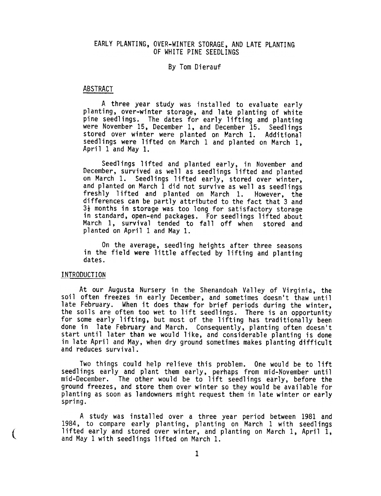# EARLY PLANTING, OVER-WINTER STORAGE, AND LATE PLANTING OF WHITE PINE SEEDLINGS

## By Tom Dierauf

#### ABSTRACT

A three year study was installed to evaluate early planting, over-winter storage, and late planting of white pine seedlings. The dates for early lifting amd planting were November 15, December 1, and December 15. Seedlings stored over winter were planted on March 1. Additional seedlings were lifted on March 1 and planted on March 1, April 1 and May 1.

Seedlings lifted and planted early, in November and December, survived as well as seedlings lifted and planted on March 1. Seedlings lifted early, stored over winter, and planted on March 1 did not survive as well as seedlings freshly lifted and planted on March 1. However, the differences can be partly attributed to the fact that 3 and  $\mathfrak s$ ½ months in storage was too long for satisfactory stora in standard, open-end packages. For seedlings lifted about March 1, survival tended to fall off when stored and planted on April 1 and May 1.

On the average, seedling heights after three seasons in the field were little affected by lifting and planting dates.

#### INTRODUCTION

At our Augusta Nursery in the Shenandoah Valley of Virginia, the soil often freezes in early December, and sometimes doesn't thaw until late February. When it does thaw for brief periods during the winter, the soils are often too wet to lift seedlings. There is an opportunity for some early lifting, but most of the lifting has traditionally been done in late February and March. Consequently, planting often doesn't start until later than we would like, and considerable planting is done in late April and May, when dry ground sometimes makes planting difficult and reduces survival.

Two things could help relieve this problem. One would be to lift seedlings early and plant them early, perhaps from mid-November until mid-December. The other would be to lift seedlings early, before the ground freezes, and store them over winter so they would be available for planting as soon as landowners might request them in late winter or early spring.

A study was installed over a three year period between 1981 and 1984, to compare early planting, planting on March 1 with seedlings lifted early and stored over winter, and planting on March 1, April 1, and May 1 with seedlings lifted on March 1.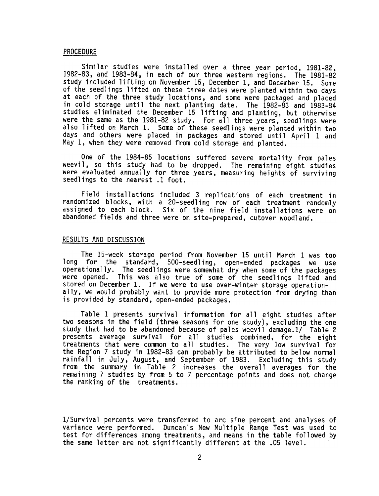#### PROCEDURE

Similar studies were installed over a three year period, 1981-82, 1982-83, and 1983-84, in each of our three western regions. The 1981-82 study included lifting on November 15, December 1, and December 15. Some of the seedlings lifted on these three dates were planted within two days at each of the three study locations, and some were packaged and placed in cold storage until the next planting date. The 1982-83 and 1983-84 studies eliminated the December 15 lifting and planting, but otherwise were the same as the 1981-82 study. For all three years, seedlings were also lifted on March 1. Some of these seedlings were planted within two days and others were placed in packages and stored until April 1 and May 1, when they were removed from cold storage and planted.

One of the 1984-85 locations suffered severe mortality from pales weevil, so this study had to be dropped. The remaining eight studies were evaluated annually for three years, measuring heights of surviving seedlings to the nearest .1 foot.

Field installations included 3 replications of each treatment in randomized blocks, with a 20-seedling row of each treatment randomly assigned to each block. Six of the nine field installations were on abandoned fields and three were on site-prepared, cutover woodland.

### RESULTS AND DISCUSSION

The 15-week storage period from November 15 until March 1 was too long for the standard, 500-seedling, open-ended packages we use operationally. The seedlings were somewhat dry when some of the packages were opened. This was also true of some of the seedlings lifted and stored on December 1. If we were to use over-winter storage operationally, we would probably want to provide more protection from drying than is provided by standard, open-ended packages.

Table 1 presents survival information for all eight studies after two seasons in the field (three seasons for one study), excluding the one study that had to be abandoned because of pales weevil damage.1/ Table 2 presents average survival for all studies combined, for the eight treatments that were common to all studies. The very low survival for the Region 7 study in 1982-83 can probably be attributed to below normal rainfall in July, August, and September of 1983. Excluding this study from the summary in Table 2 increases the overall averages for the remaining 7 studies by from 5 to 7 percentage points and does not change the ranking of the treatments.

l/Survival percents were transformed to arc sine percent and analyses of variance were performed. Duncan's New Multiple Range Test was used to test for differences among treatments, and means in the table followed by the same letter are not significantly different at the .05 level.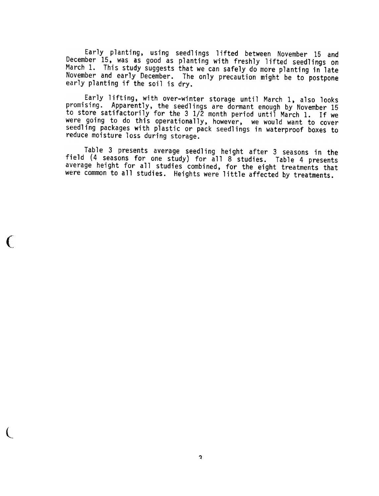Early planting, using seedlings lifted between November 15 and December 15, was as good as planting with freshly lifted seedlings on March 1. This study suggests that we can safely do more planting in late November and early December. The only precaution might be to postpone early planting if the soil is dry.

Early lifting, with over-winter storage until March I, also looks promising. Apparently, the seedlings are dormant enough by November 15 to store satifactorily for the 3 1/2 month period until March 1. If we were going to do this operationally, however, we would want to cover seedling packages with plastic or pack seedlings in waterproof boxes to reduce moisture loss during storage.

Table 3 presents average seedling height after 3 seasons in the field (4 seasons for one study) for all 8 studies. Table 4 presents average height for all studies combined, for the eight treatments that were common to all studies. Heights were little affected by treatments.

(

l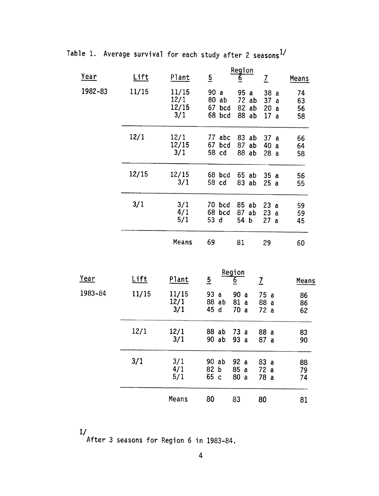Table 1. Average survival for each study after 2 seasons $^{1/}$ 

| Year        | <b>Lift</b> | Plant                         | $\overline{5}$                              | Region<br>$\underline{6}$                     | $\overline{\mathcal{I}}$              | Means                |
|-------------|-------------|-------------------------------|---------------------------------------------|-----------------------------------------------|---------------------------------------|----------------------|
| 1982-83     | 11/15       | 11/15<br>12/1<br>12/15<br>3/1 | 90 a<br>$80$ ab<br>67 bcd<br>68 bcd         | 95<br>$\mathbf{a}$<br>72 ab<br>82 ab<br>88 ab | 38<br>a<br>37 a<br>20<br>a<br>17<br>a | 74<br>63<br>56<br>58 |
|             | 12/1        | 12/1<br>12/15<br>3/1          | 77 abc<br>67<br>bcd<br>58 cd                | 83 ab<br>87 ab<br>88 ab                       | 37a<br>40<br>a<br>28a                 | 66<br>64<br>58       |
|             | 12/15       | 12/15<br>3/1                  | 68 bcd<br>58 cd                             | 65 ab<br>83 ab                                | 35a<br>25a                            | 56<br>55             |
|             | 3/1         | 3/1<br>4/1<br>5/1             | 70 bcd<br>68 bcd<br>53 d                    | 85 ab<br>87<br>ab<br>54<br>þ                  | 23a<br>23a<br>27a                     | 59<br>59<br>45       |
|             |             | Means                         | 69                                          | 81                                            | 29                                    | 60                   |
| <u>Year</u> | <u>Lift</u> | Plant                         | $\overline{5}$                              | Region<br><u>6</u>                            | $\overline{L}$                        | <b>Means</b>         |
| 1983-84     | 11/15       | 11/15<br>12/1<br>3/1          | 93a<br>88 ab<br>45 d                        | 90 a<br>81<br>$\mathbf{a}$<br>70<br>a         | 75 a<br>88a<br>72 a                   | 86<br>86<br>62       |
|             | 12/1        | 12/1<br>3/1                   | 88 ab<br>90 ab                              | 73a<br>93 a                                   | 88 a<br>87a                           | 83<br>90             |
|             | 3/1         | 3/1<br>4/1<br>5/1             | 90 ab<br>82 <sub>b</sub><br>65 <sub>c</sub> | 92 a<br>85 a<br>80a                           | 83 a<br>72a<br>78 a                   | 88<br>79<br>74       |
|             |             | Means                         | 80                                          | 83                                            | 80                                    | 81                   |

1/

After 3 seasons for Region 6 in 1983-84.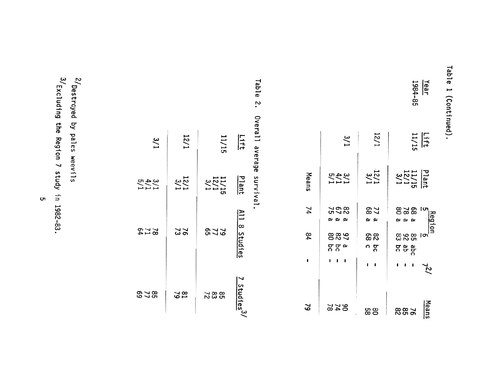| ဥ<br>൹                                                                    |
|---------------------------------------------------------------------------|
|                                                                           |
|                                                                           |
| G<br>¢<br>1<br>$\tilde{\mathbf{r}}$<br>۰<br>1.<br>ł.<br>าน<br>൹<br>c<br>L |
|                                                                           |

1984-85 Year

|         | $\frac{3}{1}$              | 12/1              | $\frac{L_{\text{eff}}}{11/15}$             |
|---------|----------------------------|-------------------|--------------------------------------------|
| Means   | 3/11<br>5/21               | $\frac{15}{2}$    | Plant<br>11/15<br>12/11<br>12/1            |
| 74      | 80<br>20<br>20<br>نم نم نم | 77<br>68<br>يم يو | lຫ<br>828<br>Region<br>نو نو نو            |
| $^{94}$ | 988<br><b>ಇದ್</b>          | 88<br>် ၁         | 8<br>8<br>8<br>8<br>8<br>Įσ<br>app<br>comp |
| ı       | 1<br>1                     |                   | လ                                          |
| 2       | <b>974</b><br>24           | စ္ထစ္ထ            | Means<br>882<br>882                        |

Table 2. Table 7 Overall average survival. Overall average survival.

| 3/1                  | 1/21            | 11/15                       | Lift                    |
|----------------------|-----------------|-----------------------------|-------------------------|
| 3/11<br>5/11<br>5/11 | $\frac{15}{3}$  | $\frac{11}{2}$ /15<br>12/15 | Plant                   |
| <b>272</b><br>24     | 762             | <b>2728</b>                 | All 8 Studies           |
| 878                  | <b>22</b><br>19 | 8822                        | 7 Studies <sup>3/</sup> |

 $3/\sqrt{2}$  Excluding the Region 7 study in 1982-83. <sup>2/</sup>Destroyed by pales weevils<br>a / 3/Excluding the Region 7 study in 1982-83. 2/Destroyed by pales weevils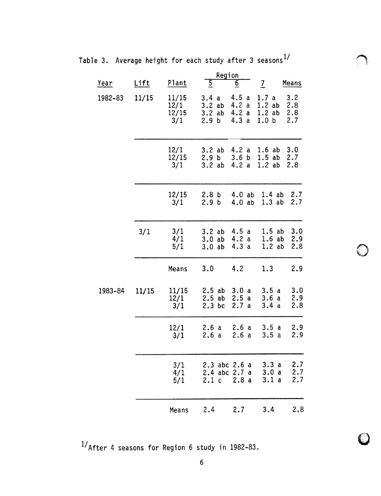|             |             |                               | <u>Region</u>                                             |                                   |                                             |                          |
|-------------|-------------|-------------------------------|-----------------------------------------------------------|-----------------------------------|---------------------------------------------|--------------------------|
| <u>Year</u> | <u>Lift</u> | Plant                         | $\overline{5}$                                            | $\overline{6}$                    | $\overline{2}$                              | Means                    |
| 1982-83     | 11/15       | 11/15<br>12/1<br>12/15<br>3/1 | 3.4<br>$\mathbf{a}$<br>3.2ab<br>3.2ab<br>2.9 <sub>b</sub> | 4.5a<br>4.2 a<br>4.2a<br>4.3a     | 1.7 a<br>1.2ab<br>1.2ab<br>1.0 <sub>b</sub> | 3.2<br>2.8<br>2.8<br>2.7 |
|             |             | 12/1<br>12/15<br>3/1          | 3.2ab<br>2.9 <sub>b</sub><br>3.2ab                        | 4.2 a<br>3.6 <sub>b</sub><br>4.2a | 1.6ab<br>1.5ab<br>1.2ab                     | 3.0<br>2.7<br>2.8        |
|             |             | 12/15<br>3/1                  | 2.8 <sub>b</sub><br>2.9 <sub>b</sub>                      | 4.0ab<br>4.0ab                    | 1.3ab                                       | 1.4 ab 2.7<br>2.7        |
|             | 3/1         | 3/1<br>4/1<br>5/1             | 3.2ab<br>3.0ab<br>3.0ab                                   | 4.5a<br>4.2a<br>4.3 a             | $1.5$ ab<br>1.6ab<br>1.2ab                  | 3.0<br>2.9<br>2.8        |
|             |             | Means                         | 3.0                                                       | 4.2                               | 1.3                                         | 2.9                      |
| 1983-84     | 11/15       | 11/15<br>12/1<br>3/1          | 2.5ab<br>2.5ab<br>$2.3$ bc                                | 3.0a<br>2.5a<br>2.7a              | 3.5a<br>3.6a<br>3.4a                        | 3.0<br>2.9<br>2.8        |
|             |             | 12/1<br>3/1                   | 2.6a<br>2.6a                                              | 2.6a<br>2.6a                      | 3.5a<br>3.5a                                | 2.9<br>2.9               |
|             |             | 3/1<br>4/1<br>5/1             | 2.4 abc 2.7 a<br>2.1 <sub>c</sub>                         | $2.3$ abc $2.6$ a<br>2.8a         | 3.3a<br>3.0a<br>3.1a                        | 2.7<br>2.7<br>2.7        |
|             |             | Means                         | 2.4                                                       | 2.7                               | 3.4                                         | 2.8                      |

Table 3. Average height for each study after 3 seasons $^{1/}$ 

 $1/A$ fter 4 seasons for Region 6 study in 1982-83.